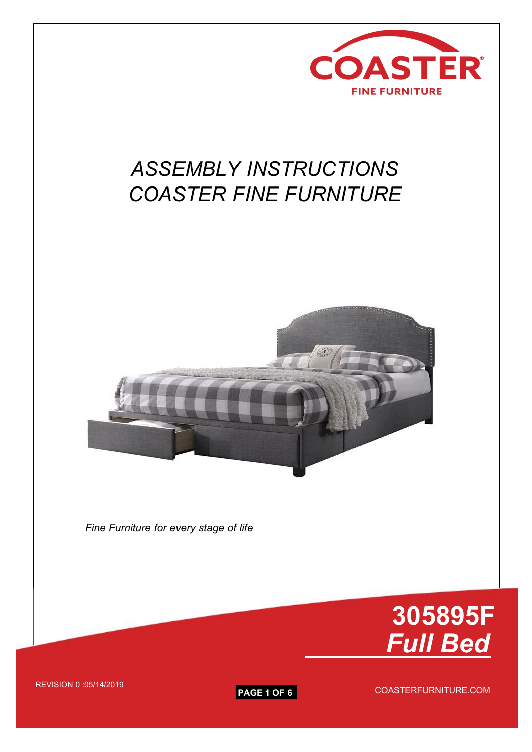

## *ASSEMBLY INSTRUCTIONS COASTER FINE FURNITURE*



*Fine Furniture for every stage of life*



REVISION 0 :05/14/2019

**PAGE 1 OF 6** COASTERFURNITURE.COM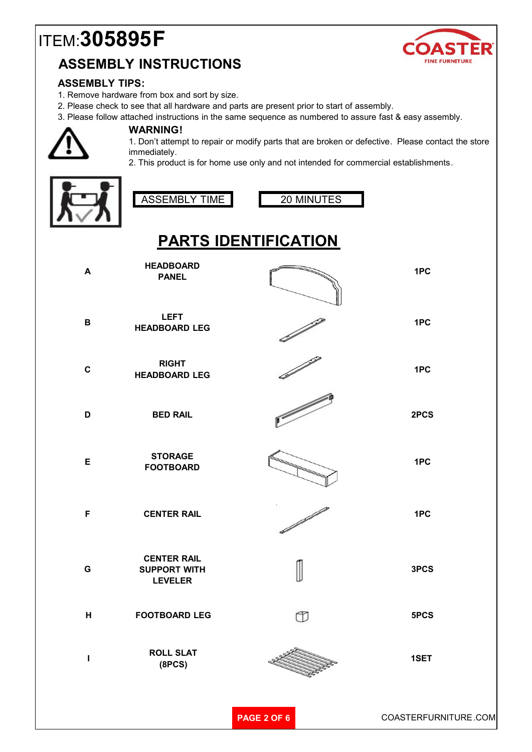## **ASSEMBLY INSTRUCTIONS**



#### **ASSEMBLY TIPS:**

- 1. Remove hardware from box and sort by size.
- 2. Please check to see that all hardware and parts are present prior to start of assembly.
- 3. Please follow attached instructions in the same sequence as numbered to assure fast & easy assembly.



#### **WARNING!**

1. Don't attempt to repair or modify parts that are broken or defective. Please contact the store immediately.

2. This product is for home use only and not intended for commercial establishments.





## **PARTS IDENTIFICATION**

| $\blacktriangle$ | <b>HEADBOARD</b><br><b>PANEL</b>                            |                                    | 1PC                 |
|------------------|-------------------------------------------------------------|------------------------------------|---------------------|
| $\, {\bf B} \,$  | <b>LEFT</b><br><b>HEADBOARD LEG</b>                         |                                    | 1PC                 |
| $\mathbf C$      | <b>RIGHT</b><br><b>HEADBOARD LEG</b>                        |                                    | 1PC                 |
| $\mathbf D$      | <b>BED RAIL</b>                                             |                                    | 2PCS                |
| E                | <b>STORAGE</b><br><b>FOOTBOARD</b>                          |                                    | 1PC                 |
| F                | <b>CENTER RAIL</b>                                          |                                    | 1PC                 |
| $\mathbf G$      | <b>CENTER RAIL</b><br><b>SUPPORT WITH</b><br><b>LEVELER</b> |                                    | 3PCS                |
| H                | <b>FOOTBOARD LEG</b>                                        | Ű                                  | 5PCS                |
| $\mathbf I$      | <b>ROLL SLAT</b><br>(8PCS)                                  |                                    | 1SET                |
|                  |                                                             | $\sim$ $\sim$ $\sim$ $\sim$ $\sim$ | 0.01075551151171155 |

**PAGE 2 OF 6** COASTERFURNITURE.COM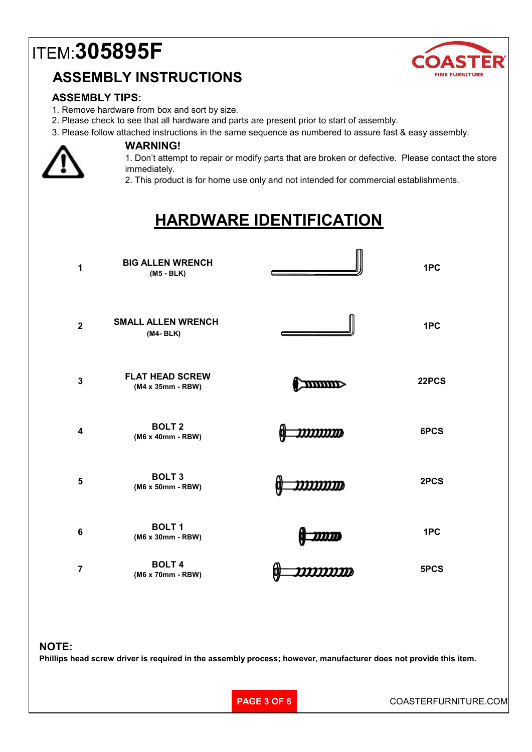## **ASSEMBLY INSTRUCTIONS**



#### **ASSEMBLY TIPS:**

- 1. Remove hardware from box and sort by size.
- 2. Please check to see that all hardware and parts are present prior to start of assembly.
- 3. Please follow attached instructions in the same sequence as numbered to assure fast & easy assembly.



#### **WARNING!**

1. Don't attempt to repair or modify parts that are broken or defective. Please contact the store immediately.

2. This product is for home use only and not intended for commercial establishments.

## **HARDWARE IDENTIFICATION**

| 1                       | <b>BIG ALLEN WRENCH</b><br>(M5 - BLK)       |                         | 1PC   |  |
|-------------------------|---------------------------------------------|-------------------------|-------|--|
| $\mathbf{2}$            | <b>SMALL ALLEN WRENCH</b><br>$(M4 - BLK)$   |                         | 1PC   |  |
| $\mathbf{3}$            | <b>FLAT HEAD SCREW</b><br>(M4 x 35mm - RBW) | <b><i>canama</i></b>    | 22PCS |  |
| $\overline{\mathbf{4}}$ | <b>BOLT 2</b><br>(M6 x 40mm - RBW)          | <i>mmm</i>              | 6PCS  |  |
| $5\phantom{1}$          | <b>BOLT 3</b><br>(M6 x 50mm - RBW)          | ,,,,,,,,                | 2PCS  |  |
| $6\phantom{1}6$         | <b>BOLT1</b><br>(M6 x 30mm - RBW)           | $\overline{\mathbf{u}}$ | 1PC   |  |
| $\overline{7}$          | <b>BOLT 4</b><br>(M6 x 70mm - RBW)          |                         | 5PCS  |  |

#### **NOTE:**

Phillips head screw driver is required in the assembly process; however, manufacturer does not provide this item.

**PAGE 3 OF 6** COASTERFURNITURE.COM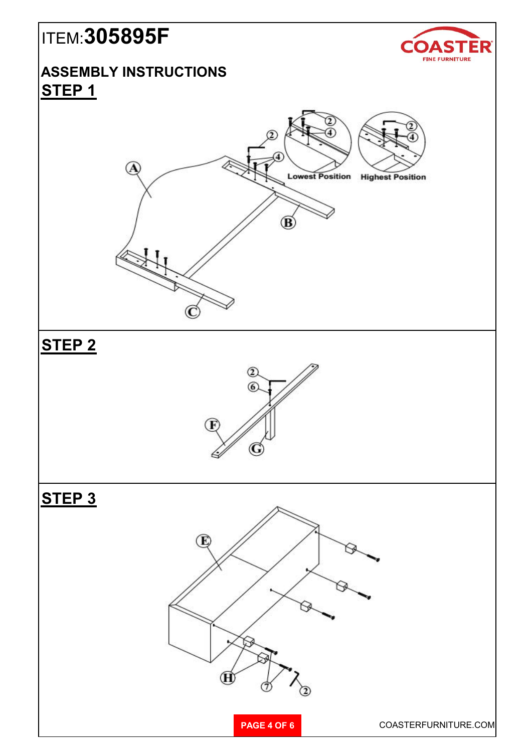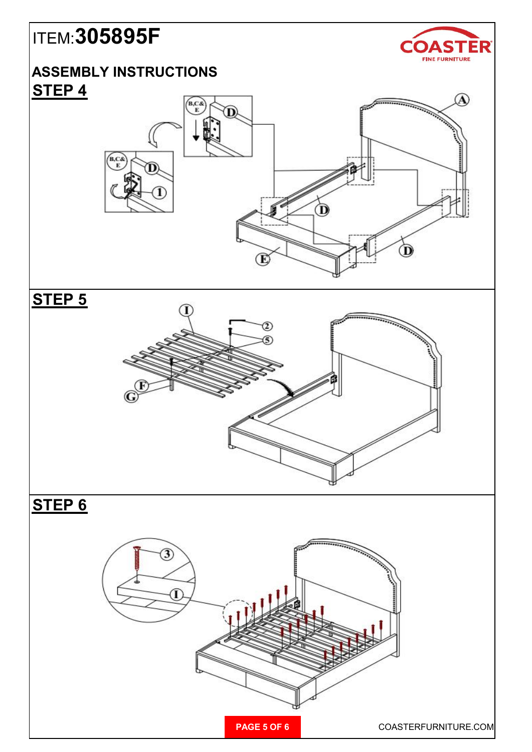# **ASSEMBLY INSTRUCTIONS**











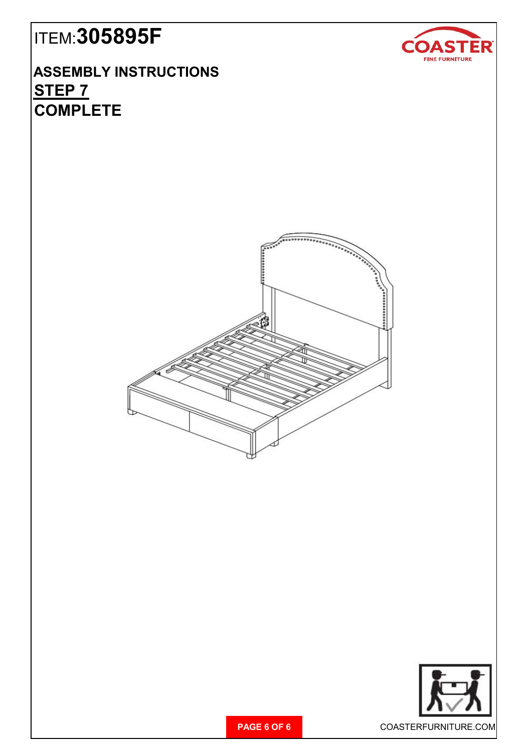## **ASSEMBLY INSTRUCTIONS STEP 7 COMPLETE**